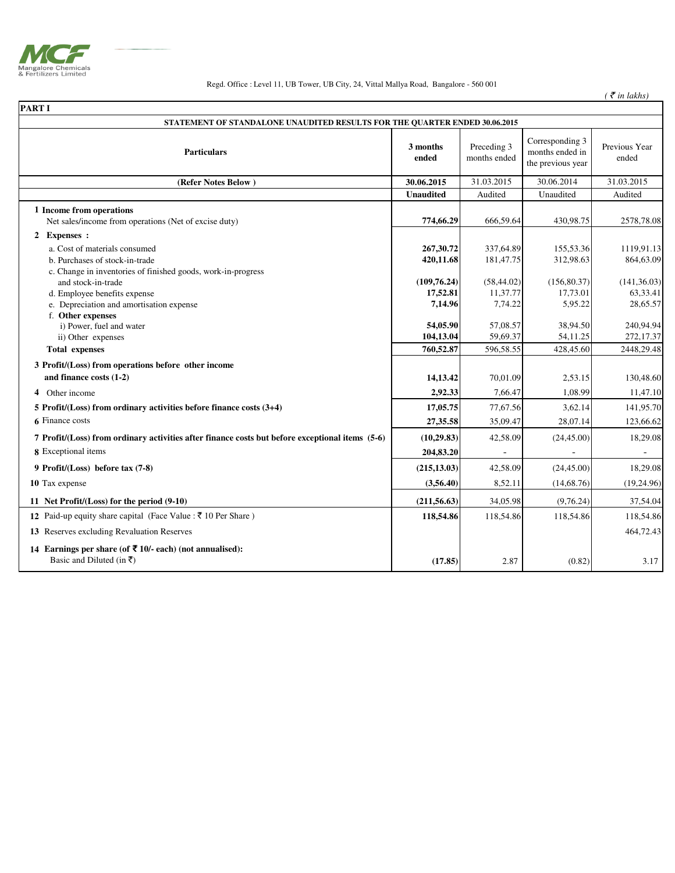

## Regd. Office : Level 11, UB Tower, UB City, 24, Vittal Mallya Road, Bangalore - 560 001

 $($   $\bar{\mathcal{F}}$  *in lakhs* $)$ 

| <b>PART I</b>                                                                                                                   |                                     |                                    |                                                         |                                      |  |  |  |
|---------------------------------------------------------------------------------------------------------------------------------|-------------------------------------|------------------------------------|---------------------------------------------------------|--------------------------------------|--|--|--|
| STATEMENT OF STANDALONE UNAUDITED RESULTS FOR THE QUARTER ENDED 30.06.2015                                                      |                                     |                                    |                                                         |                                      |  |  |  |
| <b>Particulars</b>                                                                                                              | 3 months<br>ended                   | Preceding 3<br>months ended        | Corresponding 3<br>months ended in<br>the previous year | Previous Year<br>ended               |  |  |  |
| (Refer Notes Below)                                                                                                             | 30.06.2015                          | 31.03.2015                         | 30.06.2014                                              | 31.03.2015                           |  |  |  |
|                                                                                                                                 | <b>Unaudited</b>                    | Audited                            | Unaudited                                               | Audited                              |  |  |  |
| 1 Income from operations<br>Net sales/income from operations (Net of excise duty)                                               | 774,66.29                           | 666,59.64                          | 430,98.75                                               | 2578,78.08                           |  |  |  |
| 2 Expenses :                                                                                                                    |                                     |                                    |                                                         |                                      |  |  |  |
| a. Cost of materials consumed<br>b. Purchases of stock-in-trade<br>c. Change in inventories of finished goods, work-in-progress | 267,30.72<br>420,11.68              | 337,64.89<br>181,47.75             | 155,53.36<br>312,98.63                                  | 1119,91.13<br>864,63.09              |  |  |  |
| and stock-in-trade<br>d. Employee benefits expense<br>e. Depreciation and amortisation expense                                  | (109, 76.24)<br>17,52.81<br>7,14.96 | (58, 44.02)<br>11,37.77<br>7,74.22 | (156, 80.37)<br>17,73.01<br>5,95.22                     | (141, 36.03)<br>63,33.41<br>28,65.57 |  |  |  |
| f. Other expenses<br>i) Power, fuel and water<br>ii) Other expenses<br><b>Total expenses</b>                                    | 54,05.90<br>104,13.04<br>760,52.87  | 57,08.57<br>59,69.37<br>596,58.55  | 38,94.50<br>54,11.25<br>428,45.60                       | 240,94.94<br>272,17.37<br>2448,29.48 |  |  |  |
|                                                                                                                                 |                                     |                                    |                                                         |                                      |  |  |  |
| 3 Profit/(Loss) from operations before other income<br>and finance costs (1-2)                                                  | 14,13.42                            | 70,01.09                           | 2,53.15                                                 | 130,48.60                            |  |  |  |
| 4 Other income                                                                                                                  | 2,92.33                             | 7,66.47                            | 1,08.99                                                 | 11,47.10                             |  |  |  |
| 5 Profit/ $(Loss)$ from ordinary activities before finance costs $(3+4)$                                                        | 17,05.75                            | 77,67.56                           | 3,62.14                                                 | 141,95.70                            |  |  |  |
| 6 Finance costs                                                                                                                 | 27,35.58                            | 35,09.47                           | 28,07.14                                                | 123,66.62                            |  |  |  |
| 7 Profit/(Loss) from ordinary activities after finance costs but before exceptional items (5-6)                                 | (10, 29.83)                         | 42,58.09                           | (24, 45.00)                                             | 18,29.08                             |  |  |  |
| 8 Exceptional items                                                                                                             | 204,83.20                           |                                    |                                                         |                                      |  |  |  |
| 9 Profit/(Loss) before tax (7-8)                                                                                                | (215, 13.03)                        | 42,58.09                           | (24, 45.00)                                             | 18,29.08                             |  |  |  |
| 10 Tax expense                                                                                                                  | (3,56.40)                           | 8,52.11                            | (14,68.76)                                              | (19, 24.96)                          |  |  |  |
| 11 Net Profit/(Loss) for the period (9-10)                                                                                      | (211, 56.63)                        | 34,05.98                           | (9,76.24)                                               | 37,54.04                             |  |  |  |
| 12 Paid-up equity share capital (Face Value : ₹ 10 Per Share)                                                                   | 118,54.86                           | 118,54.86                          | 118,54.86                                               | 118,54.86                            |  |  |  |
| 13 Reserves excluding Revaluation Reserves                                                                                      |                                     |                                    |                                                         | 464,72.43                            |  |  |  |
| 14 Earnings per share (of ₹ 10/- each) (not annualised):<br>Basic and Diluted (in ₹)                                            | (17.85)                             | 2.87                               | (0.82)                                                  | 3.17                                 |  |  |  |